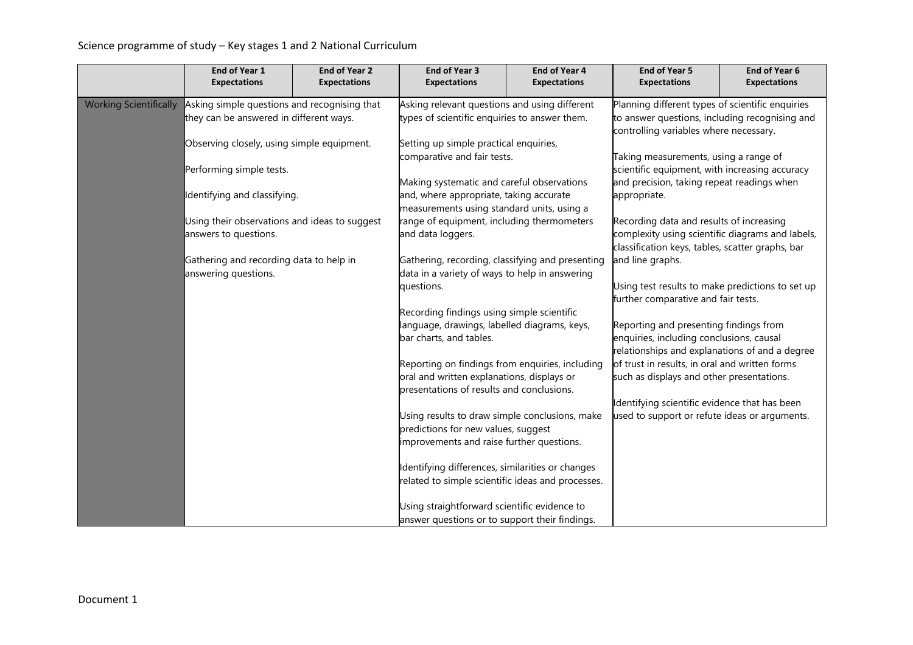## Science programme of study – Key stages 1 and 2 National Curriculum

|                               | End of Year 1                                 | <b>End of Year 2</b> | <b>End of Year 3</b>                                                                                                  | <b>End of Year 4</b> | <b>End of Year 5</b>                                                                                 | End of Year 6       |
|-------------------------------|-----------------------------------------------|----------------------|-----------------------------------------------------------------------------------------------------------------------|----------------------|------------------------------------------------------------------------------------------------------|---------------------|
|                               | <b>Expectations</b>                           | <b>Expectations</b>  | <b>Expectations</b>                                                                                                   | <b>Expectations</b>  | <b>Expectations</b>                                                                                  | <b>Expectations</b> |
| <b>Working Scientifically</b> | Asking simple questions and recognising that  |                      | Asking relevant questions and using different                                                                         |                      | Planning different types of scientific enquiries                                                     |                     |
|                               | they can be answered in different ways.       |                      | types of scientific enquiries to answer them.                                                                         |                      | to answer questions, including recognising and                                                       |                     |
|                               |                                               |                      |                                                                                                                       |                      | controlling variables where necessary.                                                               |                     |
|                               | Observing closely, using simple equipment.    |                      | Setting up simple practical enquiries,<br>comparative and fair tests.                                                 |                      | Taking measurements, using a range of                                                                |                     |
|                               | Performing simple tests.                      |                      |                                                                                                                       |                      | scientific equipment, with increasing accuracy                                                       |                     |
|                               |                                               |                      | Making systematic and careful observations                                                                            |                      | and precision, taking repeat readings when                                                           |                     |
|                               | Identifying and classifying.                  |                      | and, where appropriate, taking accurate                                                                               |                      | appropriate.                                                                                         |                     |
|                               |                                               |                      | measurements using standard units, using a                                                                            |                      |                                                                                                      |                     |
|                               | Using their observations and ideas to suggest |                      | range of equipment, including thermometers                                                                            |                      | Recording data and results of increasing                                                             |                     |
|                               | answers to questions.                         |                      | and data loggers.                                                                                                     |                      | complexity using scientific diagrams and labels,<br>classification keys, tables, scatter graphs, bar |                     |
|                               | Gathering and recording data to help in       |                      | Gathering, recording, classifying and presenting                                                                      |                      | and line graphs.                                                                                     |                     |
|                               | answering questions.                          |                      | data in a variety of ways to help in answering                                                                        |                      |                                                                                                      |                     |
|                               |                                               |                      | questions.                                                                                                            |                      | Using test results to make predictions to set up                                                     |                     |
|                               |                                               |                      |                                                                                                                       |                      | further comparative and fair tests.                                                                  |                     |
|                               |                                               |                      | Recording findings using simple scientific<br>language, drawings, labelled diagrams, keys,<br>bar charts, and tables. |                      |                                                                                                      |                     |
|                               |                                               |                      |                                                                                                                       |                      | Reporting and presenting findings from<br>enquiries, including conclusions, causal                   |                     |
|                               |                                               |                      |                                                                                                                       |                      | relationships and explanations of and a degree                                                       |                     |
|                               |                                               |                      | Reporting on findings from enquiries, including                                                                       |                      | of trust in results, in oral and written forms                                                       |                     |
|                               |                                               |                      | oral and written explanations, displays or                                                                            |                      | such as displays and other presentations.                                                            |                     |
|                               |                                               |                      | presentations of results and conclusions.                                                                             |                      |                                                                                                      |                     |
|                               |                                               |                      | Using results to draw simple conclusions, make                                                                        |                      | Identifying scientific evidence that has been<br>used to support or refute ideas or arguments.       |                     |
|                               |                                               |                      | predictions for new values, suggest                                                                                   |                      |                                                                                                      |                     |
|                               |                                               |                      | improvements and raise further questions.                                                                             |                      |                                                                                                      |                     |
|                               |                                               |                      |                                                                                                                       |                      |                                                                                                      |                     |
|                               |                                               |                      | Identifying differences, similarities or changes                                                                      |                      |                                                                                                      |                     |
|                               |                                               |                      | related to simple scientific ideas and processes.                                                                     |                      |                                                                                                      |                     |
|                               |                                               |                      | Using straightforward scientific evidence to                                                                          |                      |                                                                                                      |                     |
|                               |                                               |                      | answer questions or to support their findings.                                                                        |                      |                                                                                                      |                     |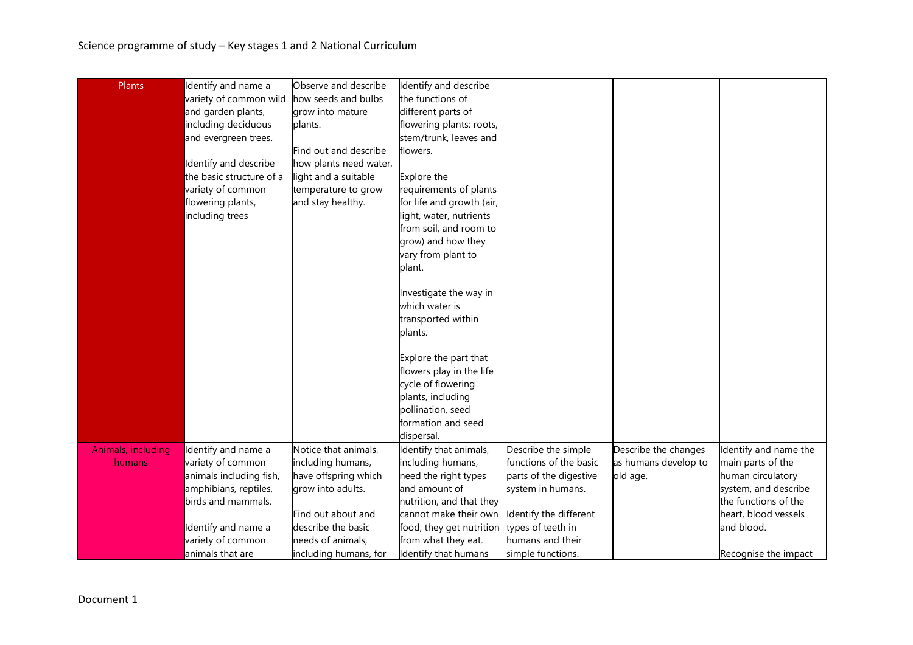| Plants             | Identify and name a      | Observe and describe   | Identify and describe                 |                        |                      |                       |
|--------------------|--------------------------|------------------------|---------------------------------------|------------------------|----------------------|-----------------------|
|                    | variety of common wild   | how seeds and bulbs    | the functions of                      |                        |                      |                       |
|                    | and garden plants,       | grow into mature       | different parts of                    |                        |                      |                       |
|                    | including deciduous      | plants.                | flowering plants: roots,              |                        |                      |                       |
|                    | and evergreen trees.     |                        | stem/trunk, leaves and                |                        |                      |                       |
|                    |                          | Find out and describe  | flowers.                              |                        |                      |                       |
|                    | Identify and describe    | how plants need water, |                                       |                        |                      |                       |
|                    | the basic structure of a | light and a suitable   |                                       |                        |                      |                       |
|                    | variety of common        | temperature to grow    | Explore the<br>requirements of plants |                        |                      |                       |
|                    |                          |                        | for life and growth (air,             |                        |                      |                       |
|                    | flowering plants,        | and stay healthy.      |                                       |                        |                      |                       |
|                    | including trees          |                        | light, water, nutrients               |                        |                      |                       |
|                    |                          |                        | from soil, and room to                |                        |                      |                       |
|                    |                          |                        | grow) and how they                    |                        |                      |                       |
|                    |                          |                        | vary from plant to                    |                        |                      |                       |
|                    |                          |                        | plant.                                |                        |                      |                       |
|                    |                          |                        | Investigate the way in                |                        |                      |                       |
|                    |                          |                        | which water is                        |                        |                      |                       |
|                    |                          |                        | transported within                    |                        |                      |                       |
|                    |                          |                        | plants.                               |                        |                      |                       |
|                    |                          |                        | Explore the part that                 |                        |                      |                       |
|                    |                          |                        | flowers play in the life              |                        |                      |                       |
|                    |                          |                        | cycle of flowering                    |                        |                      |                       |
|                    |                          |                        | plants, including                     |                        |                      |                       |
|                    |                          |                        | pollination, seed                     |                        |                      |                       |
|                    |                          |                        | formation and seed                    |                        |                      |                       |
|                    |                          |                        | dispersal.                            |                        |                      |                       |
| Animals, including | Identify and name a      | Notice that animals,   | Identify that animals,                | Describe the simple    | Describe the changes | Identify and name the |
| humans             | variety of common        | including humans,      | including humans,                     | functions of the basic | as humans develop to | main parts of the     |
|                    | animals including fish,  | have offspring which   | need the right types                  | parts of the digestive | old age.             | human circulatory     |
|                    | amphibians, reptiles,    | grow into adults.      | and amount of                         | system in humans.      |                      | system, and describe  |
|                    | birds and mammals.       |                        | nutrition, and that they              |                        |                      | the functions of the  |
|                    |                          | Find out about and     | cannot make their own                 | Identify the different |                      | heart, blood vessels  |
|                    | Identify and name a      | describe the basic     | food; they get nutrition              | types of teeth in      |                      | and blood.            |
|                    | variety of common        | needs of animals,      | from what they eat.                   | humans and their       |                      |                       |
|                    | animals that are         | including humans, for  | Identify that humans                  | simple functions.      |                      | Recognise the impact  |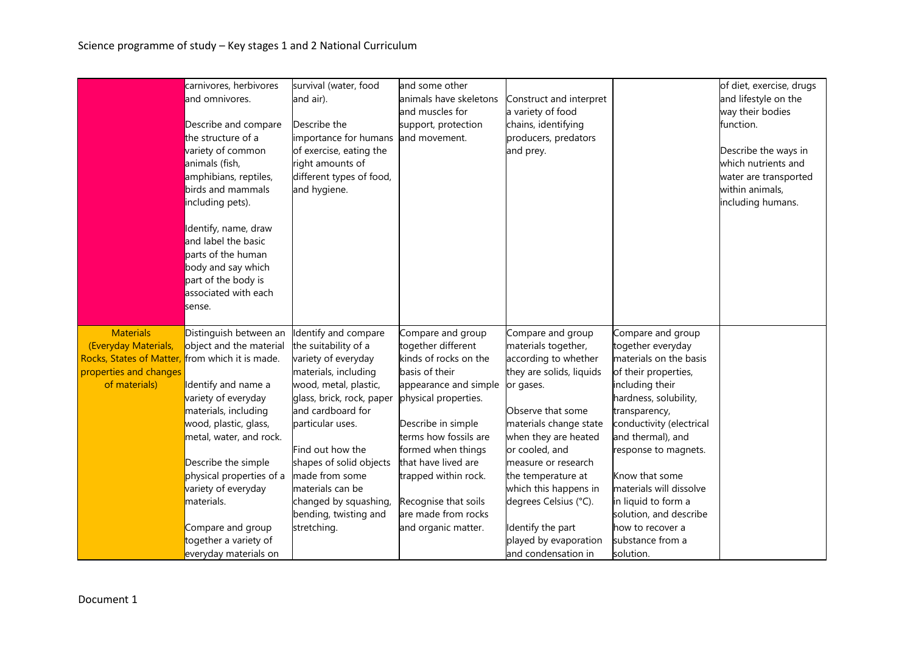|                                                                                                                       | carnivores, herbivores                                                                                                                                                                                                                                                                                                                                               | survival (water, food                                                                                                                                                                                                                                                                                                                            | and some other                                                                                                                                                                                                                                                                                                                |                                                                                                                                                                                                                                                                                                                                                                        |                                                                                                                                                                                                                                                                                                                                                                                   | of diet, exercise, drugs |
|-----------------------------------------------------------------------------------------------------------------------|----------------------------------------------------------------------------------------------------------------------------------------------------------------------------------------------------------------------------------------------------------------------------------------------------------------------------------------------------------------------|--------------------------------------------------------------------------------------------------------------------------------------------------------------------------------------------------------------------------------------------------------------------------------------------------------------------------------------------------|-------------------------------------------------------------------------------------------------------------------------------------------------------------------------------------------------------------------------------------------------------------------------------------------------------------------------------|------------------------------------------------------------------------------------------------------------------------------------------------------------------------------------------------------------------------------------------------------------------------------------------------------------------------------------------------------------------------|-----------------------------------------------------------------------------------------------------------------------------------------------------------------------------------------------------------------------------------------------------------------------------------------------------------------------------------------------------------------------------------|--------------------------|
|                                                                                                                       | and omnivores.                                                                                                                                                                                                                                                                                                                                                       | and air).                                                                                                                                                                                                                                                                                                                                        | animals have skeletons                                                                                                                                                                                                                                                                                                        | Construct and interpret                                                                                                                                                                                                                                                                                                                                                |                                                                                                                                                                                                                                                                                                                                                                                   | and lifestyle on the     |
|                                                                                                                       |                                                                                                                                                                                                                                                                                                                                                                      |                                                                                                                                                                                                                                                                                                                                                  | and muscles for                                                                                                                                                                                                                                                                                                               | a variety of food                                                                                                                                                                                                                                                                                                                                                      |                                                                                                                                                                                                                                                                                                                                                                                   | way their bodies         |
|                                                                                                                       | Describe and compare                                                                                                                                                                                                                                                                                                                                                 | Describe the                                                                                                                                                                                                                                                                                                                                     | support, protection                                                                                                                                                                                                                                                                                                           | chains, identifying                                                                                                                                                                                                                                                                                                                                                    |                                                                                                                                                                                                                                                                                                                                                                                   | function.                |
|                                                                                                                       | the structure of a                                                                                                                                                                                                                                                                                                                                                   | importance for humans                                                                                                                                                                                                                                                                                                                            | and movement.                                                                                                                                                                                                                                                                                                                 | producers, predators                                                                                                                                                                                                                                                                                                                                                   |                                                                                                                                                                                                                                                                                                                                                                                   |                          |
|                                                                                                                       | variety of common                                                                                                                                                                                                                                                                                                                                                    | of exercise, eating the                                                                                                                                                                                                                                                                                                                          |                                                                                                                                                                                                                                                                                                                               | and prey.                                                                                                                                                                                                                                                                                                                                                              |                                                                                                                                                                                                                                                                                                                                                                                   | Describe the ways in     |
|                                                                                                                       | animals (fish,                                                                                                                                                                                                                                                                                                                                                       | right amounts of                                                                                                                                                                                                                                                                                                                                 |                                                                                                                                                                                                                                                                                                                               |                                                                                                                                                                                                                                                                                                                                                                        |                                                                                                                                                                                                                                                                                                                                                                                   | which nutrients and      |
|                                                                                                                       | amphibians, reptiles,                                                                                                                                                                                                                                                                                                                                                | different types of food,                                                                                                                                                                                                                                                                                                                         |                                                                                                                                                                                                                                                                                                                               |                                                                                                                                                                                                                                                                                                                                                                        |                                                                                                                                                                                                                                                                                                                                                                                   | water are transported    |
|                                                                                                                       | birds and mammals                                                                                                                                                                                                                                                                                                                                                    | and hygiene.                                                                                                                                                                                                                                                                                                                                     |                                                                                                                                                                                                                                                                                                                               |                                                                                                                                                                                                                                                                                                                                                                        |                                                                                                                                                                                                                                                                                                                                                                                   | within animals,          |
|                                                                                                                       | including pets).                                                                                                                                                                                                                                                                                                                                                     |                                                                                                                                                                                                                                                                                                                                                  |                                                                                                                                                                                                                                                                                                                               |                                                                                                                                                                                                                                                                                                                                                                        |                                                                                                                                                                                                                                                                                                                                                                                   | including humans.        |
|                                                                                                                       |                                                                                                                                                                                                                                                                                                                                                                      |                                                                                                                                                                                                                                                                                                                                                  |                                                                                                                                                                                                                                                                                                                               |                                                                                                                                                                                                                                                                                                                                                                        |                                                                                                                                                                                                                                                                                                                                                                                   |                          |
|                                                                                                                       | Identify, name, draw                                                                                                                                                                                                                                                                                                                                                 |                                                                                                                                                                                                                                                                                                                                                  |                                                                                                                                                                                                                                                                                                                               |                                                                                                                                                                                                                                                                                                                                                                        |                                                                                                                                                                                                                                                                                                                                                                                   |                          |
|                                                                                                                       | and label the basic                                                                                                                                                                                                                                                                                                                                                  |                                                                                                                                                                                                                                                                                                                                                  |                                                                                                                                                                                                                                                                                                                               |                                                                                                                                                                                                                                                                                                                                                                        |                                                                                                                                                                                                                                                                                                                                                                                   |                          |
|                                                                                                                       | parts of the human                                                                                                                                                                                                                                                                                                                                                   |                                                                                                                                                                                                                                                                                                                                                  |                                                                                                                                                                                                                                                                                                                               |                                                                                                                                                                                                                                                                                                                                                                        |                                                                                                                                                                                                                                                                                                                                                                                   |                          |
|                                                                                                                       | body and say which                                                                                                                                                                                                                                                                                                                                                   |                                                                                                                                                                                                                                                                                                                                                  |                                                                                                                                                                                                                                                                                                                               |                                                                                                                                                                                                                                                                                                                                                                        |                                                                                                                                                                                                                                                                                                                                                                                   |                          |
|                                                                                                                       | part of the body is                                                                                                                                                                                                                                                                                                                                                  |                                                                                                                                                                                                                                                                                                                                                  |                                                                                                                                                                                                                                                                                                                               |                                                                                                                                                                                                                                                                                                                                                                        |                                                                                                                                                                                                                                                                                                                                                                                   |                          |
|                                                                                                                       | associated with each                                                                                                                                                                                                                                                                                                                                                 |                                                                                                                                                                                                                                                                                                                                                  |                                                                                                                                                                                                                                                                                                                               |                                                                                                                                                                                                                                                                                                                                                                        |                                                                                                                                                                                                                                                                                                                                                                                   |                          |
|                                                                                                                       | sense.                                                                                                                                                                                                                                                                                                                                                               |                                                                                                                                                                                                                                                                                                                                                  |                                                                                                                                                                                                                                                                                                                               |                                                                                                                                                                                                                                                                                                                                                                        |                                                                                                                                                                                                                                                                                                                                                                                   |                          |
|                                                                                                                       |                                                                                                                                                                                                                                                                                                                                                                      |                                                                                                                                                                                                                                                                                                                                                  |                                                                                                                                                                                                                                                                                                                               |                                                                                                                                                                                                                                                                                                                                                                        |                                                                                                                                                                                                                                                                                                                                                                                   |                          |
|                                                                                                                       |                                                                                                                                                                                                                                                                                                                                                                      |                                                                                                                                                                                                                                                                                                                                                  |                                                                                                                                                                                                                                                                                                                               |                                                                                                                                                                                                                                                                                                                                                                        |                                                                                                                                                                                                                                                                                                                                                                                   |                          |
|                                                                                                                       |                                                                                                                                                                                                                                                                                                                                                                      |                                                                                                                                                                                                                                                                                                                                                  |                                                                                                                                                                                                                                                                                                                               |                                                                                                                                                                                                                                                                                                                                                                        |                                                                                                                                                                                                                                                                                                                                                                                   |                          |
|                                                                                                                       |                                                                                                                                                                                                                                                                                                                                                                      |                                                                                                                                                                                                                                                                                                                                                  |                                                                                                                                                                                                                                                                                                                               |                                                                                                                                                                                                                                                                                                                                                                        |                                                                                                                                                                                                                                                                                                                                                                                   |                          |
|                                                                                                                       |                                                                                                                                                                                                                                                                                                                                                                      |                                                                                                                                                                                                                                                                                                                                                  |                                                                                                                                                                                                                                                                                                                               |                                                                                                                                                                                                                                                                                                                                                                        |                                                                                                                                                                                                                                                                                                                                                                                   |                          |
|                                                                                                                       |                                                                                                                                                                                                                                                                                                                                                                      |                                                                                                                                                                                                                                                                                                                                                  |                                                                                                                                                                                                                                                                                                                               |                                                                                                                                                                                                                                                                                                                                                                        |                                                                                                                                                                                                                                                                                                                                                                                   |                          |
|                                                                                                                       |                                                                                                                                                                                                                                                                                                                                                                      |                                                                                                                                                                                                                                                                                                                                                  |                                                                                                                                                                                                                                                                                                                               |                                                                                                                                                                                                                                                                                                                                                                        |                                                                                                                                                                                                                                                                                                                                                                                   |                          |
|                                                                                                                       |                                                                                                                                                                                                                                                                                                                                                                      |                                                                                                                                                                                                                                                                                                                                                  |                                                                                                                                                                                                                                                                                                                               |                                                                                                                                                                                                                                                                                                                                                                        |                                                                                                                                                                                                                                                                                                                                                                                   |                          |
|                                                                                                                       |                                                                                                                                                                                                                                                                                                                                                                      |                                                                                                                                                                                                                                                                                                                                                  |                                                                                                                                                                                                                                                                                                                               |                                                                                                                                                                                                                                                                                                                                                                        |                                                                                                                                                                                                                                                                                                                                                                                   |                          |
|                                                                                                                       |                                                                                                                                                                                                                                                                                                                                                                      |                                                                                                                                                                                                                                                                                                                                                  |                                                                                                                                                                                                                                                                                                                               |                                                                                                                                                                                                                                                                                                                                                                        |                                                                                                                                                                                                                                                                                                                                                                                   |                          |
|                                                                                                                       |                                                                                                                                                                                                                                                                                                                                                                      |                                                                                                                                                                                                                                                                                                                                                  |                                                                                                                                                                                                                                                                                                                               |                                                                                                                                                                                                                                                                                                                                                                        |                                                                                                                                                                                                                                                                                                                                                                                   |                          |
|                                                                                                                       |                                                                                                                                                                                                                                                                                                                                                                      |                                                                                                                                                                                                                                                                                                                                                  |                                                                                                                                                                                                                                                                                                                               |                                                                                                                                                                                                                                                                                                                                                                        |                                                                                                                                                                                                                                                                                                                                                                                   |                          |
|                                                                                                                       |                                                                                                                                                                                                                                                                                                                                                                      |                                                                                                                                                                                                                                                                                                                                                  |                                                                                                                                                                                                                                                                                                                               |                                                                                                                                                                                                                                                                                                                                                                        |                                                                                                                                                                                                                                                                                                                                                                                   |                          |
|                                                                                                                       |                                                                                                                                                                                                                                                                                                                                                                      |                                                                                                                                                                                                                                                                                                                                                  |                                                                                                                                                                                                                                                                                                                               |                                                                                                                                                                                                                                                                                                                                                                        |                                                                                                                                                                                                                                                                                                                                                                                   |                          |
|                                                                                                                       |                                                                                                                                                                                                                                                                                                                                                                      |                                                                                                                                                                                                                                                                                                                                                  |                                                                                                                                                                                                                                                                                                                               |                                                                                                                                                                                                                                                                                                                                                                        |                                                                                                                                                                                                                                                                                                                                                                                   |                          |
|                                                                                                                       |                                                                                                                                                                                                                                                                                                                                                                      |                                                                                                                                                                                                                                                                                                                                                  |                                                                                                                                                                                                                                                                                                                               |                                                                                                                                                                                                                                                                                                                                                                        |                                                                                                                                                                                                                                                                                                                                                                                   |                          |
|                                                                                                                       |                                                                                                                                                                                                                                                                                                                                                                      |                                                                                                                                                                                                                                                                                                                                                  |                                                                                                                                                                                                                                                                                                                               |                                                                                                                                                                                                                                                                                                                                                                        |                                                                                                                                                                                                                                                                                                                                                                                   |                          |
|                                                                                                                       |                                                                                                                                                                                                                                                                                                                                                                      |                                                                                                                                                                                                                                                                                                                                                  |                                                                                                                                                                                                                                                                                                                               |                                                                                                                                                                                                                                                                                                                                                                        |                                                                                                                                                                                                                                                                                                                                                                                   |                          |
| <b>Materials</b><br>(Everyday Materials,<br><b>Rocks, States of Matter</b><br>properties and changes<br>of materials) | Distinguish between an<br>object and the material<br>from which it is made.<br>Identify and name a<br>variety of everyday<br>materials, including<br>wood, plastic, glass,<br>metal, water, and rock.<br>Describe the simple<br>physical properties of a<br>variety of everyday<br>materials.<br>Compare and group<br>together a variety of<br>everyday materials on | Identify and compare<br>the suitability of a<br>variety of everyday<br>materials, including<br>wood, metal, plastic,<br>glass, brick, rock, paper<br>and cardboard for<br>particular uses.<br>Find out how the<br>shapes of solid objects<br>made from some<br>materials can be<br>changed by squashing,<br>bending, twisting and<br>stretching. | Compare and group<br>together different<br>kinds of rocks on the<br>basis of their<br>appearance and simple<br>physical properties.<br>Describe in simple<br>terms how fossils are<br>formed when things<br>that have lived are<br>trapped within rock.<br>Recognise that soils<br>are made from rocks<br>and organic matter. | Compare and group<br>materials together,<br>according to whether<br>they are solids, liquids<br>or gases.<br>Observe that some<br>materials change state<br>when they are heated<br>or cooled, and<br>measure or research<br>the temperature at<br>which this happens in<br>degrees Celsius (°C).<br>Identify the part<br>played by evaporation<br>and condensation in | Compare and group<br>together everyday<br>materials on the basis<br>of their properties,<br>including their<br>hardness, solubility,<br>transparency,<br>conductivity (electrical<br>and thermal), and<br>response to magnets.<br>Know that some<br>materials will dissolve<br>in liquid to form a<br>solution, and describe<br>how to recover a<br>substance from a<br>solution. |                          |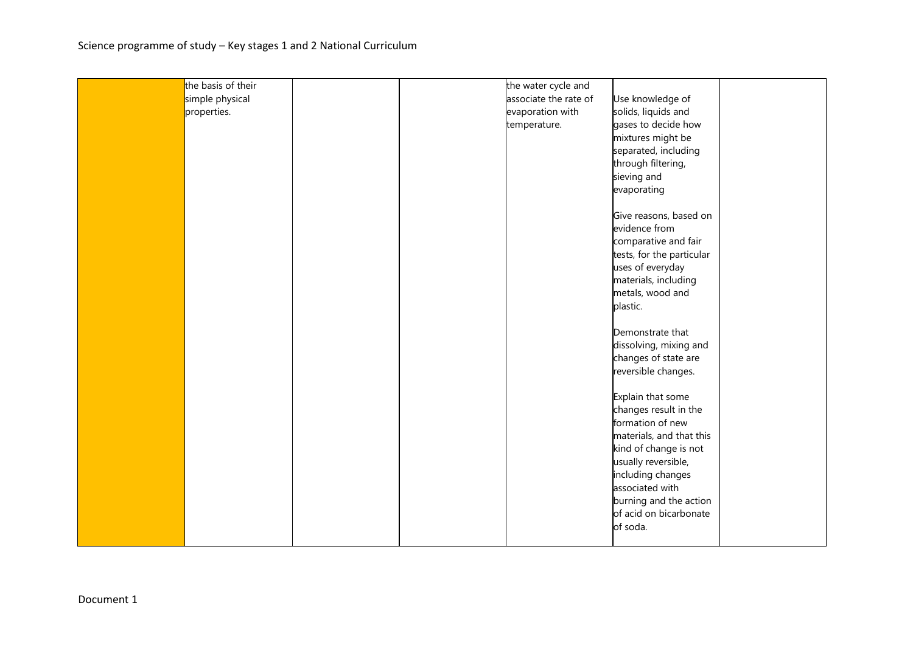| the basis of their |  | the water cycle and   |                           |  |
|--------------------|--|-----------------------|---------------------------|--|
| simple physical    |  | associate the rate of | Use knowledge of          |  |
|                    |  |                       |                           |  |
| properties.        |  | evaporation with      | solids, liquids and       |  |
|                    |  | temperature.          | gases to decide how       |  |
|                    |  |                       | mixtures might be         |  |
|                    |  |                       | separated, including      |  |
|                    |  |                       | through filtering,        |  |
|                    |  |                       | sieving and               |  |
|                    |  |                       | evaporating               |  |
|                    |  |                       | Give reasons, based on    |  |
|                    |  |                       | evidence from             |  |
|                    |  |                       | comparative and fair      |  |
|                    |  |                       |                           |  |
|                    |  |                       | tests, for the particular |  |
|                    |  |                       | uses of everyday          |  |
|                    |  |                       | materials, including      |  |
|                    |  |                       | metals, wood and          |  |
|                    |  |                       | plastic.                  |  |
|                    |  |                       | Demonstrate that          |  |
|                    |  |                       | dissolving, mixing and    |  |
|                    |  |                       | changes of state are      |  |
|                    |  |                       | reversible changes.       |  |
|                    |  |                       |                           |  |
|                    |  |                       | Explain that some         |  |
|                    |  |                       | changes result in the     |  |
|                    |  |                       | formation of new          |  |
|                    |  |                       | materials, and that this  |  |
|                    |  |                       | kind of change is not     |  |
|                    |  |                       | usually reversible,       |  |
|                    |  |                       | including changes         |  |
|                    |  |                       | associated with           |  |
|                    |  |                       | burning and the action    |  |
|                    |  |                       | of acid on bicarbonate    |  |
|                    |  |                       | of soda.                  |  |
|                    |  |                       |                           |  |
|                    |  |                       |                           |  |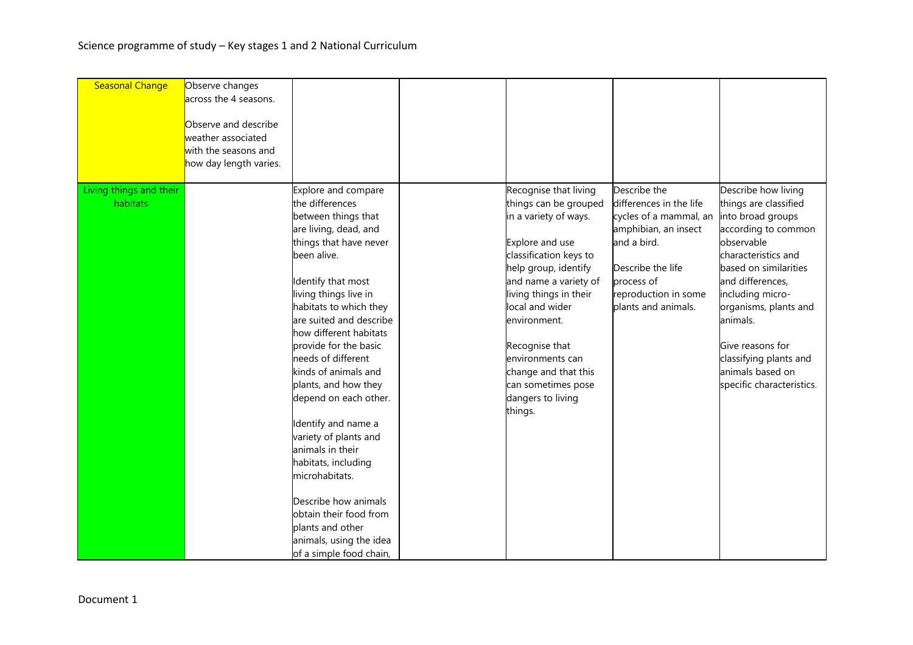| <b>Seasonal Change</b>              | Observe changes<br>across the 4 seasons.<br>Observe and describe<br>weather associated<br>with the seasons and<br>how day length varies. |                                                                                                                                                                                                                                                                                                                                                                                                                                                                                                                                                                                                                                |                                                                                                                                                                                                                                                                                                                                                        |                                                                                                                                                                                            |                                                                                                                                                                                                                                                                                                                                    |
|-------------------------------------|------------------------------------------------------------------------------------------------------------------------------------------|--------------------------------------------------------------------------------------------------------------------------------------------------------------------------------------------------------------------------------------------------------------------------------------------------------------------------------------------------------------------------------------------------------------------------------------------------------------------------------------------------------------------------------------------------------------------------------------------------------------------------------|--------------------------------------------------------------------------------------------------------------------------------------------------------------------------------------------------------------------------------------------------------------------------------------------------------------------------------------------------------|--------------------------------------------------------------------------------------------------------------------------------------------------------------------------------------------|------------------------------------------------------------------------------------------------------------------------------------------------------------------------------------------------------------------------------------------------------------------------------------------------------------------------------------|
| Living things and their<br>habitats |                                                                                                                                          | Explore and compare<br>the differences<br>between things that<br>are living, dead, and<br>things that have never<br>been alive.<br>Identify that most<br>living things live in<br>habitats to which they<br>are suited and describe<br>how different habitats<br>provide for the basic<br>needs of different<br>kinds of animals and<br>plants, and how they<br>depend on each other.<br>Identify and name a<br>variety of plants and<br>animals in their<br>habitats, including<br>microhabitats.<br>Describe how animals<br>obtain their food from<br>plants and other<br>animals, using the idea<br>of a simple food chain, | Recognise that living<br>things can be grouped<br>in a variety of ways.<br>Explore and use<br>classification keys to<br>help group, identify<br>and name a variety of<br>living things in their<br>local and wider<br>environment.<br>Recognise that<br>environments can<br>change and that this<br>can sometimes pose<br>dangers to living<br>things. | Describe the<br>differences in the life<br>cycles of a mammal, an<br>amphibian, an insect<br>and a bird.<br>Describe the life<br>process of<br>reproduction in some<br>plants and animals. | Describe how living<br>things are classified<br>into broad groups<br>according to common<br>observable<br>characteristics and<br>based on similarities<br>and differences,<br>including micro-<br>organisms, plants and<br>animals.<br>Give reasons for<br>classifying plants and<br>animals based on<br>specific characteristics. |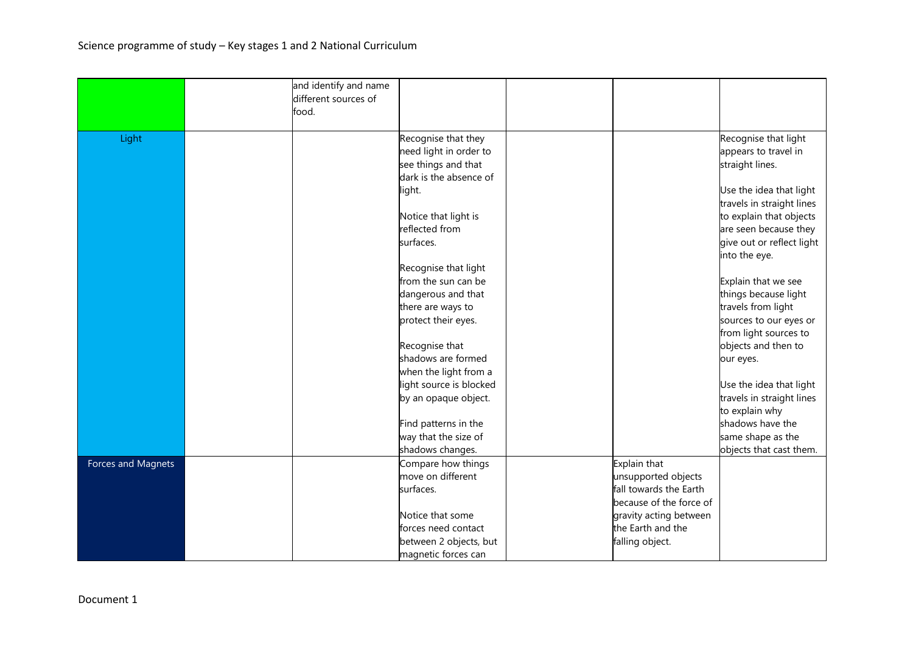|                    | and identify and name<br>different sources of |                                         |                                               |                           |
|--------------------|-----------------------------------------------|-----------------------------------------|-----------------------------------------------|---------------------------|
|                    | food.                                         |                                         |                                               |                           |
| Light              |                                               | Recognise that they                     |                                               | Recognise that light      |
|                    |                                               | need light in order to                  |                                               | appears to travel in      |
|                    |                                               | see things and that                     |                                               | straight lines.           |
|                    |                                               | dark is the absence of                  |                                               |                           |
|                    |                                               | light.                                  |                                               | Use the idea that light   |
|                    |                                               |                                         |                                               | travels in straight lines |
|                    |                                               | Notice that light is                    |                                               | to explain that objects   |
|                    |                                               | reflected from                          |                                               | are seen because they     |
|                    |                                               | surfaces.                               |                                               | give out or reflect light |
|                    |                                               |                                         |                                               | into the eye.             |
|                    |                                               | Recognise that light                    |                                               |                           |
|                    |                                               | from the sun can be                     |                                               | Explain that we see       |
|                    |                                               | dangerous and that                      |                                               | things because light      |
|                    |                                               | there are ways to                       |                                               | travels from light        |
|                    |                                               | protect their eyes.                     |                                               | sources to our eyes or    |
|                    |                                               |                                         |                                               | from light sources to     |
|                    |                                               | Recognise that                          |                                               | objects and then to       |
|                    |                                               | shadows are formed                      |                                               | our eyes.                 |
|                    |                                               | when the light from a                   |                                               |                           |
|                    |                                               | light source is blocked                 |                                               | Use the idea that light   |
|                    |                                               | by an opaque object.                    |                                               | travels in straight lines |
|                    |                                               |                                         |                                               | to explain why            |
|                    |                                               | Find patterns in the                    |                                               | shadows have the          |
|                    |                                               | way that the size of                    |                                               | same shape as the         |
|                    |                                               | shadows changes.                        | Explain that                                  | objects that cast them.   |
| Forces and Magnets |                                               | Compare how things<br>move on different |                                               |                           |
|                    |                                               | surfaces.                               | unsupported objects<br>fall towards the Earth |                           |
|                    |                                               |                                         | because of the force of                       |                           |
|                    |                                               | Notice that some                        | gravity acting between                        |                           |
|                    |                                               | forces need contact                     | the Earth and the                             |                           |
|                    |                                               | between 2 objects, but                  | falling object.                               |                           |
|                    |                                               | magnetic forces can                     |                                               |                           |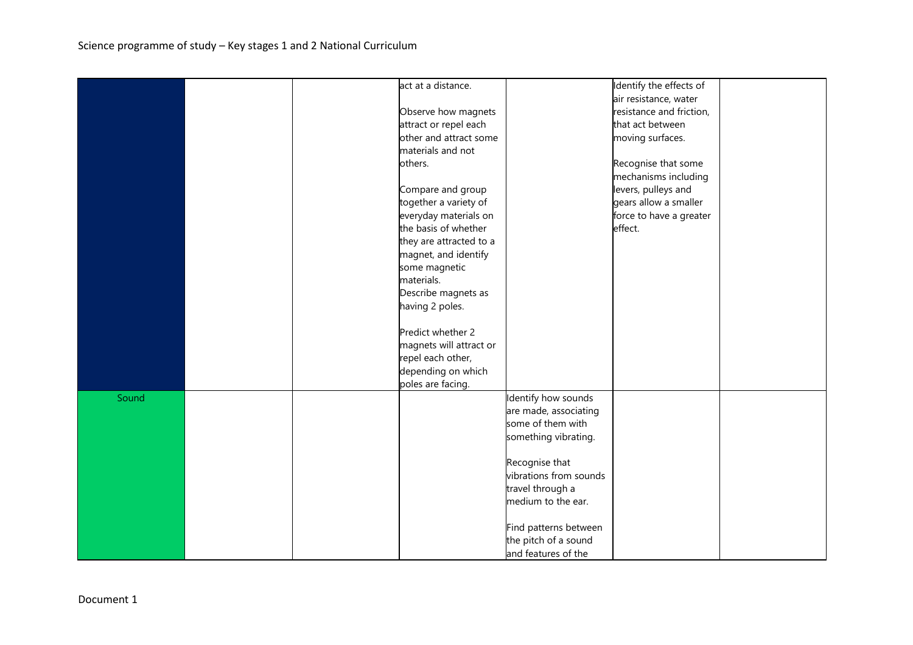|       |  | act at a distance.      |                        | Identify the effects of  |  |
|-------|--|-------------------------|------------------------|--------------------------|--|
|       |  |                         |                        | air resistance, water    |  |
|       |  | Observe how magnets     |                        | resistance and friction, |  |
|       |  | attract or repel each   |                        | that act between         |  |
|       |  | other and attract some  |                        | moving surfaces.         |  |
|       |  | materials and not       |                        |                          |  |
|       |  | others.                 |                        | Recognise that some      |  |
|       |  |                         |                        | mechanisms including     |  |
|       |  | Compare and group       |                        | levers, pulleys and      |  |
|       |  | together a variety of   |                        | gears allow a smaller    |  |
|       |  | everyday materials on   |                        | force to have a greater  |  |
|       |  | the basis of whether    |                        | effect.                  |  |
|       |  | they are attracted to a |                        |                          |  |
|       |  | magnet, and identify    |                        |                          |  |
|       |  | some magnetic           |                        |                          |  |
|       |  | materials.              |                        |                          |  |
|       |  | Describe magnets as     |                        |                          |  |
|       |  | having 2 poles.         |                        |                          |  |
|       |  |                         |                        |                          |  |
|       |  | Predict whether 2       |                        |                          |  |
|       |  | magnets will attract or |                        |                          |  |
|       |  | repel each other,       |                        |                          |  |
|       |  | depending on which      |                        |                          |  |
|       |  | poles are facing.       |                        |                          |  |
| Sound |  |                         | Identify how sounds    |                          |  |
|       |  |                         |                        |                          |  |
|       |  |                         | are made, associating  |                          |  |
|       |  |                         | some of them with      |                          |  |
|       |  |                         | something vibrating.   |                          |  |
|       |  |                         |                        |                          |  |
|       |  |                         | Recognise that         |                          |  |
|       |  |                         | vibrations from sounds |                          |  |
|       |  |                         | travel through a       |                          |  |
|       |  |                         | medium to the ear.     |                          |  |
|       |  |                         | Find patterns between  |                          |  |
|       |  |                         | the pitch of a sound   |                          |  |
|       |  |                         |                        |                          |  |
|       |  |                         | and features of the    |                          |  |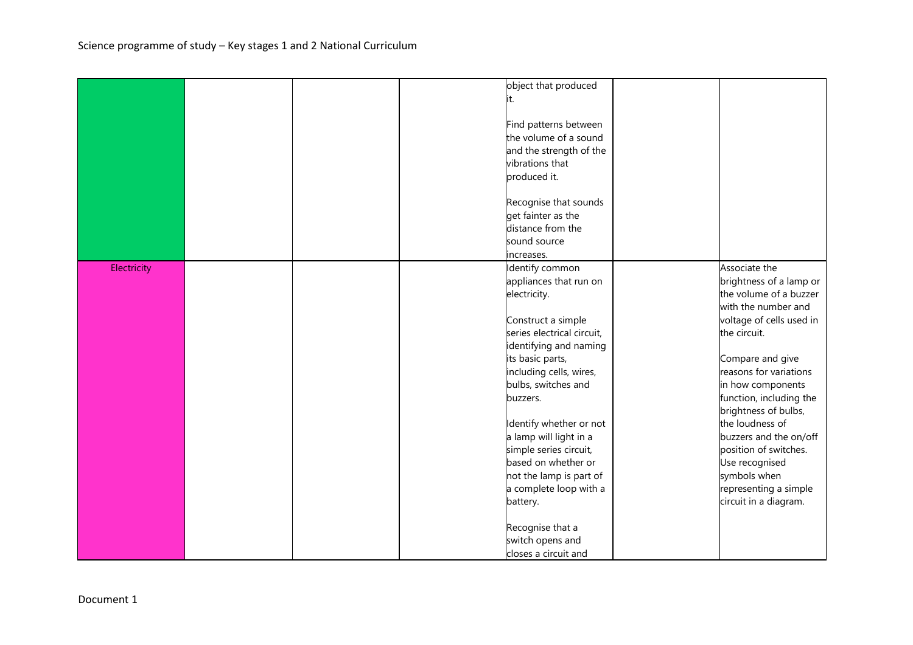|             |  | object that produced       |                          |
|-------------|--|----------------------------|--------------------------|
|             |  | it.                        |                          |
|             |  |                            |                          |
|             |  | Find patterns between      |                          |
|             |  | the volume of a sound      |                          |
|             |  | and the strength of the    |                          |
|             |  | vibrations that            |                          |
|             |  |                            |                          |
|             |  | produced it.               |                          |
|             |  | Recognise that sounds      |                          |
|             |  | get fainter as the         |                          |
|             |  | distance from the          |                          |
|             |  |                            |                          |
|             |  | sound source               |                          |
|             |  | increases.                 |                          |
| Electricity |  | Identify common            | Associate the            |
|             |  | appliances that run on     | brightness of a lamp or  |
|             |  | electricity.               | the volume of a buzzer   |
|             |  |                            | with the number and      |
|             |  | Construct a simple         | voltage of cells used in |
|             |  | series electrical circuit, | the circuit.             |
|             |  | identifying and naming     |                          |
|             |  | its basic parts,           | Compare and give         |
|             |  | including cells, wires,    | reasons for variations   |
|             |  | bulbs, switches and        | in how components        |
|             |  | buzzers.                   | function, including the  |
|             |  |                            | brightness of bulbs,     |
|             |  | Identify whether or not    | the loudness of          |
|             |  | a lamp will light in a     | buzzers and the on/off   |
|             |  | simple series circuit,     | position of switches.    |
|             |  | based on whether or        | Use recognised           |
|             |  | not the lamp is part of    | symbols when             |
|             |  | a complete loop with a     | representing a simple    |
|             |  | battery.                   | circuit in a diagram.    |
|             |  |                            |                          |
|             |  | Recognise that a           |                          |
|             |  | switch opens and           |                          |
|             |  | closes a circuit and       |                          |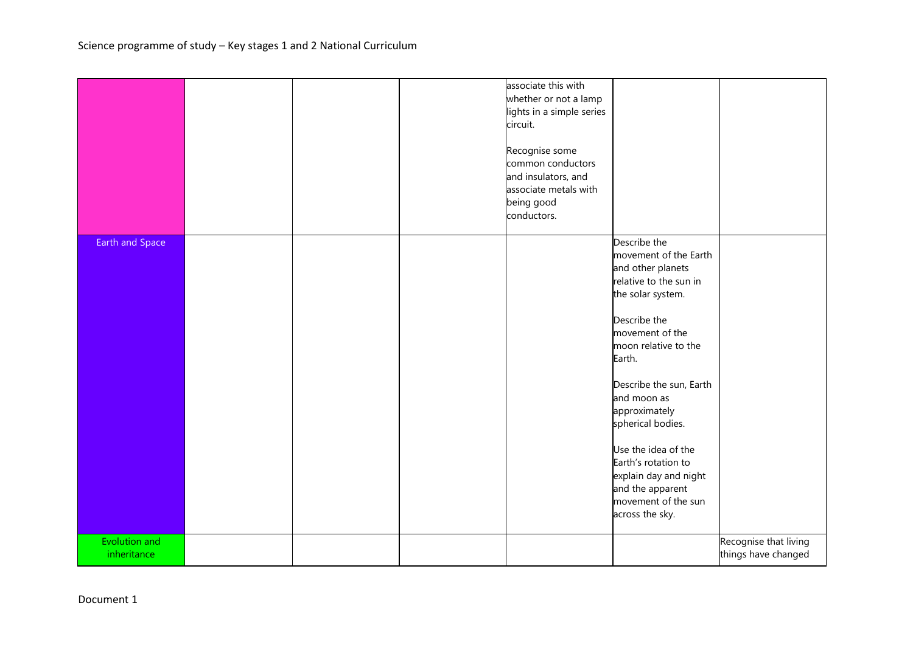|                              |  | associate this with<br>whether or not a lamp<br>lights in a simple series<br>circuit.<br>Recognise some<br>common conductors<br>and insulators, and<br>associate metals with<br>being good<br>conductors. |                                                                                                                                                                                                                                                                                                                                                                                                     |                                              |
|------------------------------|--|-----------------------------------------------------------------------------------------------------------------------------------------------------------------------------------------------------------|-----------------------------------------------------------------------------------------------------------------------------------------------------------------------------------------------------------------------------------------------------------------------------------------------------------------------------------------------------------------------------------------------------|----------------------------------------------|
| Earth and Space              |  |                                                                                                                                                                                                           | Describe the<br>movement of the Earth<br>and other planets<br>relative to the sun in<br>the solar system.<br>Describe the<br>movement of the<br>moon relative to the<br>Earth.<br>Describe the sun, Earth<br>and moon as<br>approximately<br>spherical bodies.<br>Use the idea of the<br>Earth's rotation to<br>explain day and night<br>and the apparent<br>movement of the sun<br>across the sky. |                                              |
| Evolution and<br>inheritance |  |                                                                                                                                                                                                           |                                                                                                                                                                                                                                                                                                                                                                                                     | Recognise that living<br>things have changed |